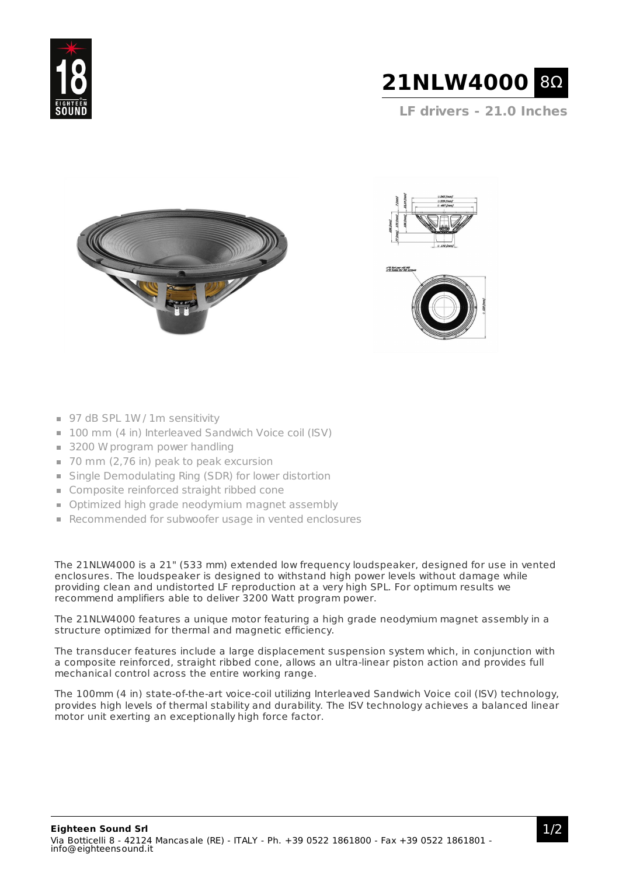



**LF drivers - 21.0 Inches**





- 97 dB SPL 1W / 1m sensitivity
- 100 mm (4 in) Interleaved Sandwich Voice coil (ISV)
- 3200 W program power handling
- 70 mm (2,76 in) peak to peak excursion
- Single Demodulating Ring (SDR) for lower distortion
- Composite reinforced straight ribbed cone
- **D** Optimized high grade neodymium magnet assembly
- Recommended for subwoofer usage in vented enclosures

The 21NLW4000 is a 21" (533 mm) extended low frequency loudspeaker, designed for use in vented enclosures. The loudspeaker is designed to withstand high power levels without damage while providing clean and undistorted LF reproduction at a very high SPL. For optimum results we recommend amplifiers able to deliver 3200 Watt program power.

The 21NLW4000 features a unique motor featuring a high grade neodymium magnet assembly in a structure optimized for thermal and magnetic efficiency.

The transducer features include a large displacement suspension system which, in conjunction with a composite reinforced, straight ribbed cone, allows an ultra-linear piston action and provides full mechanical control across the entire working range.

The 100mm (4 in) state-of-the-art voice-coil utilizing Interleaved Sandwich Voice coil (ISV) technology, provides high levels of thermal stability and durability. The ISV technology achieves a balanced linear motor unit exerting an exceptionally high force factor.